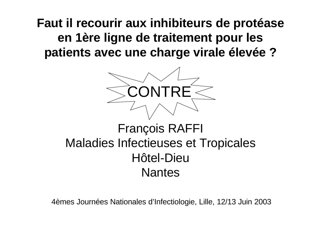**Faut il recourir aux inhibiteurs de protéase en 1ère ligne de traitement pour les patients avec une charge virale élevée ?**



## François RAFFI Maladies Infectieuses et Tropicales Hôtel-Dieu **Nantes**

4èmes Journées Nationales d'Infectiologie, Lille, 12/13 Juin 2003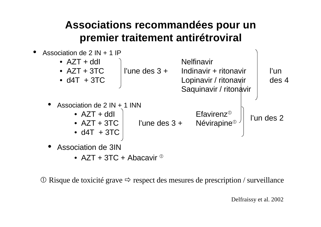#### **Associations recommandées pour un premier traitement antirétroviral**



• AZT + 3TC + Abacavir  $\Phi$ 

 $\overline{O}$  Risque de toxicité grave  $\Rightarrow$  respect des mesures de prescription / surveillance

Delfraissy et al. 2002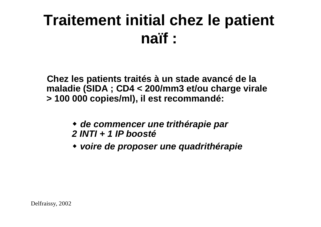# **Traitement initial chez le patient naïf :**

**Chez les patients traités à un stade avancé de la maladie (SIDA ; CD4 < 200/mm3 et/ou charge virale > 100 000 copies/ml), il est recommandé:**

- w *de commencer une trithérapie par 2 INTI + 1 IP boosté*
- w *voire de proposer une quadrithérapie*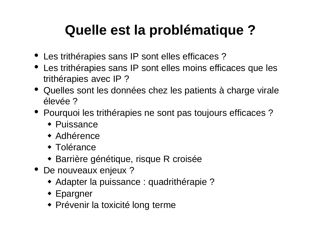# **Quelle est la problématique ?**

- Les trithérapies sans IP sont elles efficaces?
- Les trithérapies sans IP sont elles moins efficaces que les trithérapies avec IP ?
- Quelles sont les données chez les patients à charge virale élevée ?
- Pourquoi les trithérapies ne sont pas toujours efficaces?
	- $\bullet$  Puissance
	- $\bullet$  Adhérence
	- $\triangleleft$  Tolérance
	- Barrière génétique, risque R croisée
- De nouveaux enjeux ?
	- Adapter la puissance : quadrithérapie ?
	- $\triangle$  Epargner
	- Prévenir la toxicité long terme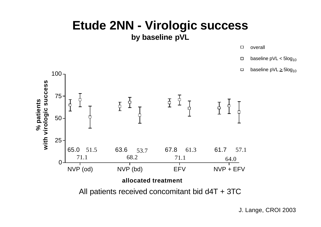## **Etude 2NN - Virologic success**

**by baseline pVL**

![](_page_4_Figure_2.jpeg)

- baseline  $pVL < 5log_{10}$  $\Box$
- baseline  $pVL \geq 5log_{10}$  $\Box$

![](_page_4_Figure_5.jpeg)

J. Lange, CROI 2003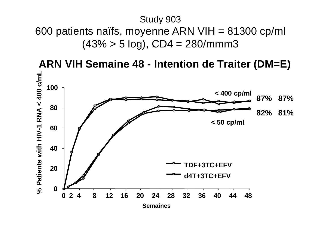#### Study 903 600 patients naïfs, moyenne ARN VIH = 81300 cp/ml  $(43\% > 5 \log)$ , CD4 = 280/mmm3

**ARN VIH Semaine 48 - Intention de Traiter (DM=E) -1 RNA < 400 c/mL** % Patients with HIV-1 RNA < 400 c/mL **100 < 400 cp/ml 87% 87% 80 82% 81% < 50 cp/ml60 % Patients with HIV 40 TDF+3TC+EFV 20 d4T+3TC+EFV 0 0 2 4 8 12 16 20 24 28 32 36 40 44 48 Semaines**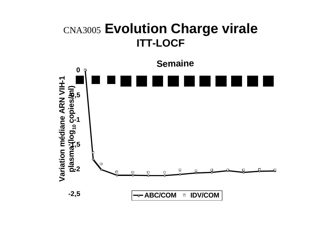#### CNA3005 **Evolution Charge virale ITT-LOCF**

![](_page_6_Figure_1.jpeg)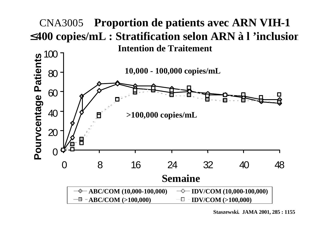![](_page_7_Figure_0.jpeg)

**Staszewski. JAMA 2001, 285 : 1155**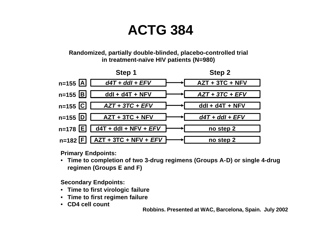## **ACTG 384**

**Randomized, partially double-blinded, placebo-controlled trial in treatment-naïve HIV patients (N=980)** 

![](_page_8_Figure_2.jpeg)

**Primary Endpoints:**

• **Time to completion of two 3-drug regimens (Groups A-D) or single 4-drug regimen (Groups E and F)**

**Secondary Endpoints:**

- **Time to first virologic failure**
- **Time to first regimen failure**
- **CD4 cell count**

**Robbins. Presented at WAC, Barcelona, Spain. July 2002**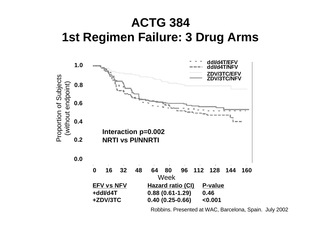### **ACTG 384 1st Regimen Failure: 3 Drug Arms**

![](_page_9_Figure_1.jpeg)

Robbins. Presented at WAC, Barcelona, Spain. July 2002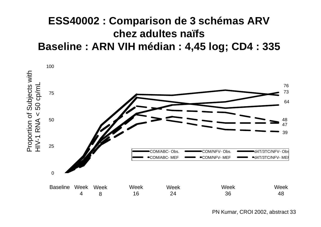#### **ESS40002 : Comparison de 3 schémas ARV chez adultes naïfs Baseline : ARN VIH médian : 4,45 log; CD4 : 335**

![](_page_10_Figure_1.jpeg)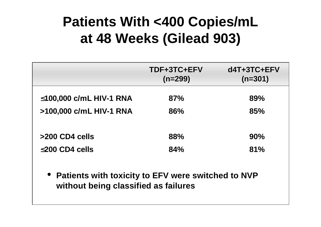# **Patients With <400 Copies/mL at 48 Weeks (Gilead 903)**

|                                                                                              | TDF+3TC+EFV<br>$(n=299)$ | $d4T+3TC+EFV$<br>$(n=301)$ |  |  |  |  |
|----------------------------------------------------------------------------------------------|--------------------------|----------------------------|--|--|--|--|
| £100,000 c/mL HIV-1 RNA                                                                      | 87%                      | 89%                        |  |  |  |  |
| >100,000 c/mL HIV-1 RNA                                                                      | 86%                      | 85%                        |  |  |  |  |
| >200 CD4 cells                                                                               | 88%                      | 90%                        |  |  |  |  |
| £200 CD4 cells                                                                               | 84%                      | 81%                        |  |  |  |  |
| • Patients with toxicity to EFV were switched to NVP<br>without being classified as failures |                          |                            |  |  |  |  |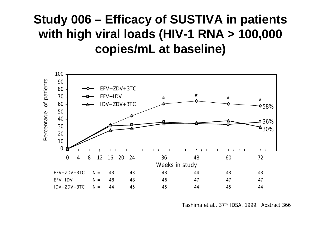## **Study 006 – Efficacy of SUSTIVA in patients with high viral loads (HIV-1 RNA > 100,000 copies/mL at baseline)**

![](_page_12_Figure_1.jpeg)

Tashima *et al.*, 37th IDSA, 1999. Abstract 366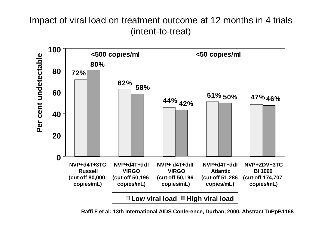#### Impact of viral load on treatment outcome at 12 months in 4 trials (intent-to-treat)

![](_page_13_Figure_1.jpeg)

**Raffi F et al: 13th International AIDS Conference, Durban, 2000. Abstract TuPpB1168**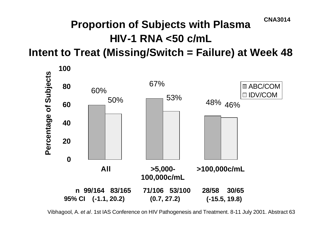#### **Proportion of Subjects with Plasma HIV-1 RNA <50 c/mL Intent to Treat (Missing/Switch = Failure) at Week 48 CNA3014**

![](_page_14_Figure_1.jpeg)

Vibhagool, A. *et al*. 1st IAS Conference on HIV Pathogenesis and Treatment. 8-11 July 2001. Abstract 63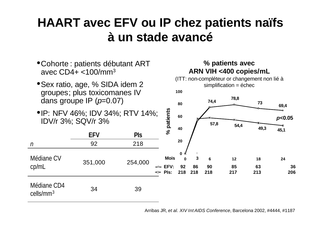## **HAART avec EFV ou IP chez patients naïfs à un stade avancé**

- •Cohorte : patients débutant ART avec  $CD4+  $<100$ /mm<sup>3</sup>$
- Sex ratio, age, % SIDA idem 2 groupes; plus toxicomanes IV dans groupe IP (*p*=0.07)

cells/mm<sup>3</sup>

cp/mL

•IP: NFV 46%; IDV 34%; RTV 14%; IDV/r 3%; SQV/r 3%

#### **% patients avec ARN VIH <400 copies/mL**

![](_page_15_Figure_5.jpeg)

Arribas JR, *et al. XIV Int AIDS Conference*, Barcelona 2002, #4444, #1187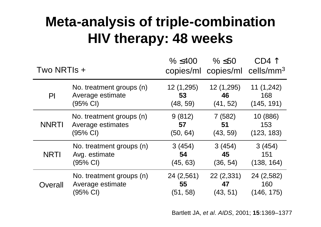# **Meta-analysis of triple-combination HIV therapy: 48 weeks**

| Two NRTIs +   |                          | $\% \leq 400$ | $\% \leq 50$ | $CD4$ $\uparrow$<br>copies/ml copies/ml cells/mm <sup>3</sup> |
|---------------|--------------------------|---------------|--------------|---------------------------------------------------------------|
| $\mathsf{Pl}$ | No. treatment groups (n) | 12 (1,295)    | 12(1,295)    | 11(1,242)                                                     |
|               | Average estimate         | 53            | 46           | 168                                                           |
|               | (95% CI)                 | (48, 59)      | (41, 52)     | (145, 191)                                                    |
| <b>NNRTI</b>  | No. treatment groups (n) | 9(812)        | 7(582)       | 10 (886)                                                      |
|               | Average estimates        | 57            | 51           | 153                                                           |
|               | (95% Cl)                 | (50, 64)      | (43, 59)     | (123, 183)                                                    |
| <b>NRTI</b>   | No. treatment groups (n) | 3(454)        | 3(454)       | 3(454)                                                        |
|               | Avg. estimate            | 54            | 45           | 151                                                           |
|               | (95% CI)                 | (45, 63)      | (36, 54)     | (138, 164)                                                    |
| Overall       | No. treatment groups (n) | 24(2,561)     | 22(2,331)    | 24 (2,582)                                                    |
|               | Average estimate         | 55            | 47           | 160                                                           |
|               | (95% CI)                 | (51, 58)      | (43, 51)     | (146, 175)                                                    |

Bartlett JA, *et al*. *AIDS*, 2001; **15**:1369–1377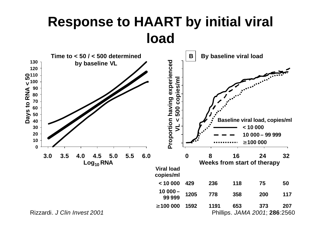## **Response to HAART by initial viral load**

![](_page_17_Figure_1.jpeg)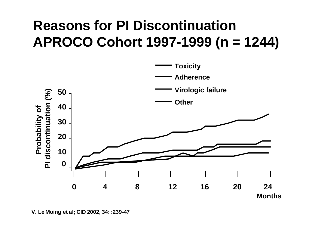# **Reasons for PI Discontinuation APROCO Cohort 1997-1999 (n = 1244)**

![](_page_18_Figure_1.jpeg)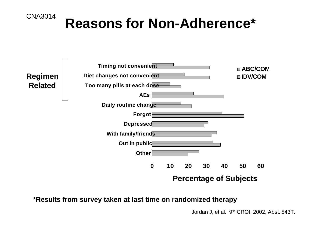![](_page_19_Figure_0.jpeg)

# **CNA3014** Reasons for Non-Adherence\*

![](_page_19_Figure_2.jpeg)

**\*Results from survey taken at last time on randomized therapy**

Jordan J, et al. 9<sup>th</sup> CROI, 2002, Abst. 543T.